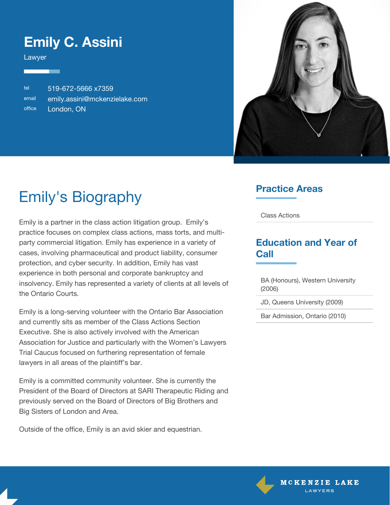### **Emily C. Assini**

Lawyer

tel 519-672-5666 x7359 email [emily.assini@mckenzielake.com](#page--1-0) office London, ON



# Emily's Biography

Emily is a partner in the class action litigation group. Emily's practice focuses on complex class actions, mass torts, and multiparty commercial litigation. Emily has experience in a variety of cases, involving pharmaceutical and product liability, consumer protection, and cyber security. In addition, Emily has vast experience in both personal and corporate bankruptcy and insolvency. Emily has represented a variety of clients at all levels of the Ontario Courts.

Emily is a long-serving volunteer with the Ontario Bar Association and currently sits as member of the Class Actions Section Executive. She is also actively involved with the American Association for Justice and particularly with the Women's Lawyers Trial Caucus focused on furthering representation of female lawyers in all areas of the plaintiff's bar.

Emily is a committed community volunteer. She is currently the President of the Board of Directors at SARI Therapeutic Riding and previously served on the Board of Directors of Big Brothers and Big Sisters of London and Area.

Outside of the office, Emily is an avid skier and equestrian.

#### **Practice Areas**

Class Actions

#### **Education and Year of Call**

BA (Honours), Western University (2006)

JD, Queens University (2009)

Bar Admission, Ontario (2010)